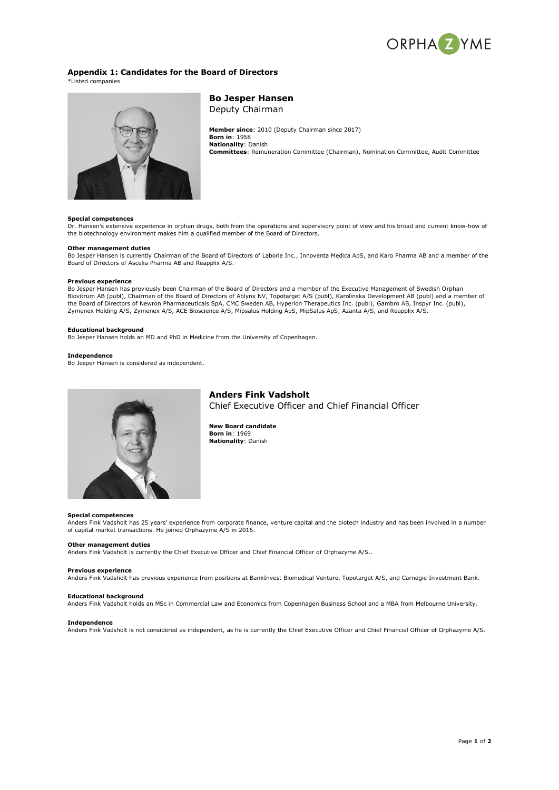

# **Appendix 1: Candidates for the Board of Directors**

\*Listed companies



**Bo Jesper Hansen** Deputy Chairman

**Member since**: 2010 (Deputy Chairman since 2017) **Born in**: 1958 **Nationality**: Danish **Committees**: Remuneration Committee (Chairman), Nomination Committee, Audit Committee

# **Special competences**

Dr. Hansen's extensive experience in orphan drugs, both from the operations and supervisory point of view and his broad and current know-how of the biotechnology environment makes him a qualified member of the Board of Directors.

## **Other management duties**

Bo Jesper Hansen is currently Chairman of the Board of Directors of Laborie Inc., Innoventa Medica ApS, and Karo Pharma AB and a member of the Board of Directors of Ascelia Pharma AB and Reapplix A/S.

# **Previous experience**

Bo Jesper Hansen has previously been Chairman of the Board of Directors and a member of the Executive Management of Swedish Orphan Biovitrum AB (publ), Chairman of the Board of Directors of Ablynx NV, Topotarget A/S (publ), Karolinska Development AB (publ) and a member of<br>the Board of Directors of Newron Pharmaceuticals SpA, CMC Sweden AB, Hyperion Th Zymenex Holding A/S, Zymenex A/S, ACE Bioscience A/S, Mipsalus Holding ApS, MipSalus ApS, Azanta A/S, and Reapplix A/S.

# **Educational background**

Bo Jesper Hansen holds an MD and PhD in Medicine from the University of Copenhagen.

## **Independence**

Bo Jesper Hansen is considered as independent.



# **Anders Fink Vadsholt**

Chief Executive Officer and Chief Financial Officer

**New Board candidate Born in**: 1969 **Nationality**: Danish

#### **Special competences**

Anders Fink Vadsholt has 25 years' experience from corporate finance, venture capital and the biotech industry and has been involved in a number of capital market transactions. He joined Orphazyme A/S in 2016.

# **Other management duties**

Anders Fink Vadsholt is currently the Chief Executive Officer and Chief Financial Officer of Orphazyme A/S..

## **Previous experience**

Anders Fink Vadsholt has previous experience from positions at BankInvest Biomedical Venture, Topotarget A/S, and Carnegie Investment Bank.

#### **Educational background**

Anders Fink Vadsholt holds an MSc in Commercial Law and Economics from Copenhagen Business School and a MBA from Melbourne University.

### **Independence**

Anders Fink Vadsholt is not considered as independent, as he is currently the Chief Executive Officer and Chief Financial Officer of Orphazyme A/S.